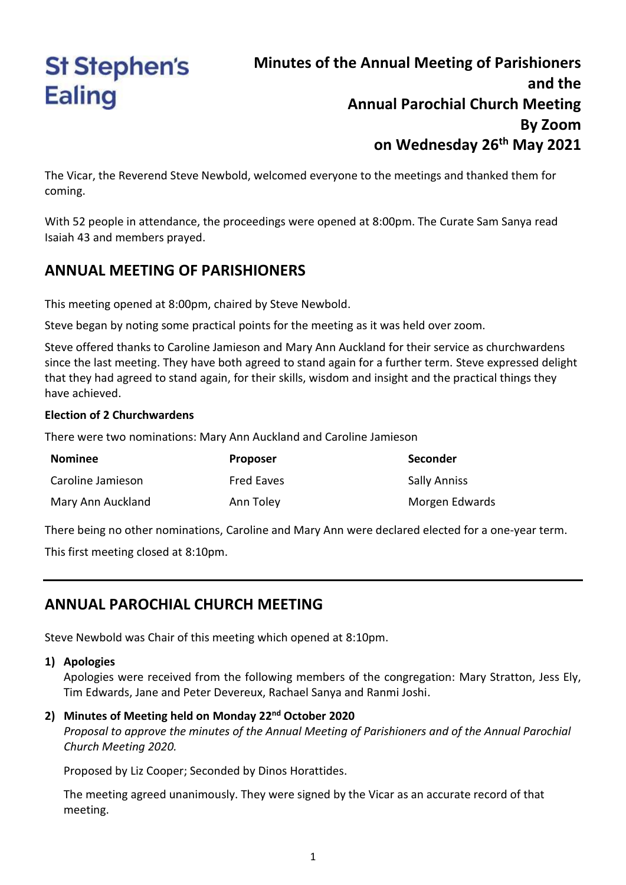# **St Stephen's Ealing**

# **Minutes of the Annual Meeting of Parishioners and the Annual Parochial Church Meeting By Zoom on Wednesday 26th May 2021**

The Vicar, the Reverend Steve Newbold, welcomed everyone to the meetings and thanked them for coming.

With 52 people in attendance, the proceedings were opened at 8:00pm. The Curate Sam Sanya read Isaiah 43 and members prayed.

## **ANNUAL MEETING OF PARISHIONERS**

This meeting opened at 8:00pm, chaired by Steve Newbold.

Steve began by noting some practical points for the meeting as it was held over zoom.

Steve offered thanks to Caroline Jamieson and Mary Ann Auckland for their service as churchwardens since the last meeting. They have both agreed to stand again for a further term. Steve expressed delight that they had agreed to stand again, for their skills, wisdom and insight and the practical things they have achieved.

#### **Election of 2 Churchwardens**

There were two nominations: Mary Ann Auckland and Caroline Jamieson

| <b>Nominee</b>    | <b>Proposer</b>   | <b>Seconder</b>     |
|-------------------|-------------------|---------------------|
| Caroline Jamieson | <b>Fred Eaves</b> | <b>Sally Anniss</b> |
| Mary Ann Auckland | Ann Toley         | Morgen Edwards      |

There being no other nominations, Caroline and Mary Ann were declared elected for a one-year term.

This first meeting closed at 8:10pm.

## **ANNUAL PAROCHIAL CHURCH MEETING**

Steve Newbold was Chair of this meeting which opened at 8:10pm.

#### **1) Apologies**

Apologies were received from the following members of the congregation: Mary Stratton, Jess Ely, Tim Edwards, Jane and Peter Devereux, Rachael Sanya and Ranmi Joshi.

#### **2) Minutes of Meeting held on Monday 22nd October 2020**

*Proposal to approve the minutes of the Annual Meeting of Parishioners and of the Annual Parochial Church Meeting 2020.*

Proposed by Liz Cooper; Seconded by Dinos Horattides.

The meeting agreed unanimously. They were signed by the Vicar as an accurate record of that meeting.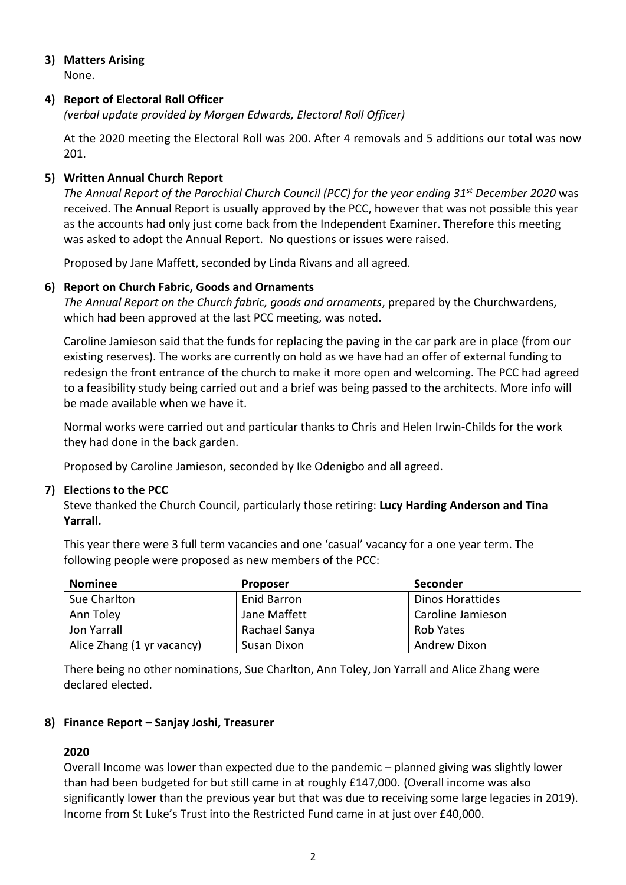# **3) Matters Arising**

None.

## **4) Report of Electoral Roll Officer**

*(verbal update provided by Morgen Edwards, Electoral Roll Officer)*

At the 2020 meeting the Electoral Roll was 200. After 4 removals and 5 additions our total was now 201.

## **5) Written Annual Church Report**

*The Annual Report of the Parochial Church Council (PCC) for the year ending 31st December 2020* was received. The Annual Report is usually approved by the PCC, however that was not possible this year as the accounts had only just come back from the Independent Examiner. Therefore this meeting was asked to adopt the Annual Report. No questions or issues were raised.

Proposed by Jane Maffett, seconded by Linda Rivans and all agreed.

#### **6) Report on Church Fabric, Goods and Ornaments**

*The Annual Report on the Church fabric, goods and ornaments*, prepared by the Churchwardens, which had been approved at the last PCC meeting, was noted.

Caroline Jamieson said that the funds for replacing the paving in the car park are in place (from our existing reserves). The works are currently on hold as we have had an offer of external funding to redesign the front entrance of the church to make it more open and welcoming. The PCC had agreed to a feasibility study being carried out and a brief was being passed to the architects. More info will be made available when we have it.

Normal works were carried out and particular thanks to Chris and Helen Irwin-Childs for the work they had done in the back garden.

Proposed by Caroline Jamieson, seconded by Ike Odenigbo and all agreed.

#### **7) Elections to the PCC**

Steve thanked the Church Council, particularly those retiring: **Lucy Harding Anderson and Tina Yarrall.**

This year there were 3 full term vacancies and one 'casual' vacancy for a one year term. The following people were proposed as new members of the PCC:

| <b>Nominee</b>             | <b>Proposer</b>    | Seconder          |
|----------------------------|--------------------|-------------------|
| Sue Charlton               | <b>Enid Barron</b> | Dinos Horattides  |
| Ann Toley                  | Jane Maffett       | Caroline Jamieson |
| Jon Yarrall                | Rachael Sanya      | Rob Yates         |
| Alice Zhang (1 yr vacancy) | Susan Dixon        | Andrew Dixon      |

There being no other nominations, Sue Charlton, Ann Toley, Jon Yarrall and Alice Zhang were declared elected.

#### **8) Finance Report – Sanjay Joshi, Treasurer**

#### **2020**

Overall Income was lower than expected due to the pandemic – planned giving was slightly lower than had been budgeted for but still came in at roughly £147,000. (Overall income was also significantly lower than the previous year but that was due to receiving some large legacies in 2019). Income from St Luke's Trust into the Restricted Fund came in at just over £40,000.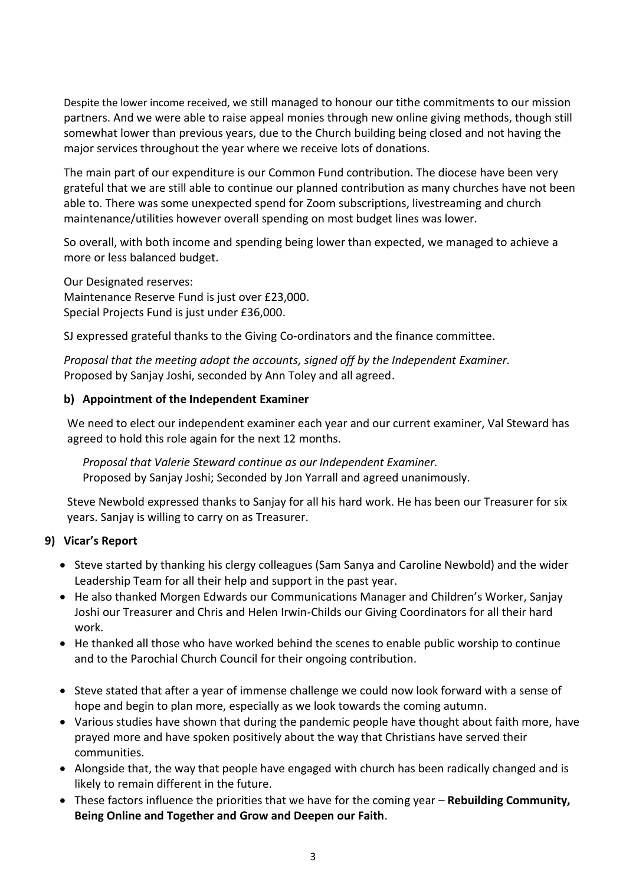Despite the lower income received, we still managed to honour our tithe commitments to our mission partners. And we were able to raise appeal monies through new online giving methods, though still somewhat lower than previous years, due to the Church building being closed and not having the major services throughout the year where we receive lots of donations.

The main part of our expenditure is our Common Fund contribution. The diocese have been very grateful that we are still able to continue our planned contribution as many churches have not been able to. There was some unexpected spend for Zoom subscriptions, livestreaming and church maintenance/utilities however overall spending on most budget lines was lower.

So overall, with both income and spending being lower than expected, we managed to achieve a more or less balanced budget.

Our Designated reserves: Maintenance Reserve Fund is just over £23,000. Special Projects Fund is just under £36,000.

SJ expressed grateful thanks to the Giving Co-ordinators and the finance committee.

*Proposal that the meeting adopt the accounts, signed off by the Independent Examiner.* Proposed by Sanjay Joshi, seconded by Ann Toley and all agreed.

#### **b) Appointment of the Independent Examiner**

We need to elect our independent examiner each year and our current examiner, Val Steward has agreed to hold this role again for the next 12 months.

*Proposal that Valerie Steward continue as our Independent Examiner.* Proposed by Sanjay Joshi; Seconded by Jon Yarrall and agreed unanimously.

Steve Newbold expressed thanks to Sanjay for all his hard work. He has been our Treasurer for six years. Sanjay is willing to carry on as Treasurer.

#### **9) Vicar's Report**

- Steve started by thanking his clergy colleagues (Sam Sanya and Caroline Newbold) and the wider Leadership Team for all their help and support in the past year.
- He also thanked Morgen Edwards our Communications Manager and Children's Worker, Sanjay Joshi our Treasurer and Chris and Helen Irwin-Childs our Giving Coordinators for all their hard work.
- He thanked all those who have worked behind the scenes to enable public worship to continue and to the Parochial Church Council for their ongoing contribution.
- Steve stated that after a year of immense challenge we could now look forward with a sense of hope and begin to plan more, especially as we look towards the coming autumn.
- Various studies have shown that during the pandemic people have thought about faith more, have prayed more and have spoken positively about the way that Christians have served their communities.
- Alongside that, the way that people have engaged with church has been radically changed and is likely to remain different in the future.
- These factors influence the priorities that we have for the coming year **Rebuilding Community, Being Online and Together and Grow and Deepen our Faith**.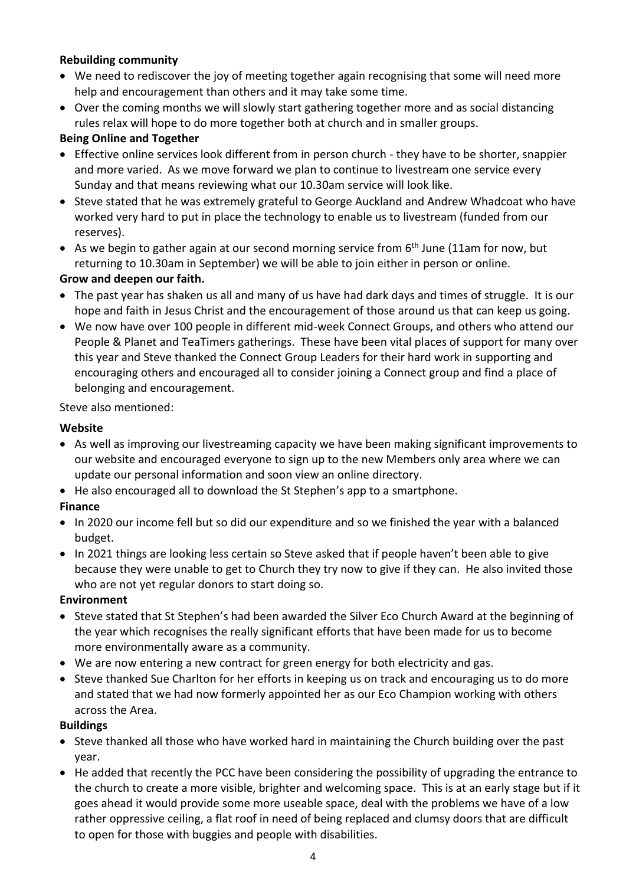#### **Rebuilding community**

- We need to rediscover the joy of meeting together again recognising that some will need more help and encouragement than others and it may take some time.
- Over the coming months we will slowly start gathering together more and as social distancing rules relax will hope to do more together both at church and in smaller groups.

#### **Being Online and Together**

- Effective online services look different from in person church they have to be shorter, snappier and more varied. As we move forward we plan to continue to livestream one service every Sunday and that means reviewing what our 10.30am service will look like.
- Steve stated that he was extremely grateful to George Auckland and Andrew Whadcoat who have worked very hard to put in place the technology to enable us to livestream (funded from our reserves).
- As we begin to gather again at our second morning service from  $6<sup>th</sup>$  June (11am for now, but returning to 10.30am in September) we will be able to join either in person or online.

#### **Grow and deepen our faith.**

- The past year has shaken us all and many of us have had dark days and times of struggle. It is our hope and faith in Jesus Christ and the encouragement of those around us that can keep us going.
- We now have over 100 people in different mid-week Connect Groups, and others who attend our People & Planet and TeaTimers gatherings. These have been vital places of support for many over this year and Steve thanked the Connect Group Leaders for their hard work in supporting and encouraging others and encouraged all to consider joining a Connect group and find a place of belonging and encouragement.

#### Steve also mentioned:

#### **Website**

- As well as improving our livestreaming capacity we have been making significant improvements to our website and encouraged everyone to sign up to the new Members only area where we can update our personal information and soon view an online directory.
- He also encouraged all to download the St Stephen's app to a smartphone.

#### **Finance**

- In 2020 our income fell but so did our expenditure and so we finished the year with a balanced budget.
- In 2021 things are looking less certain so Steve asked that if people haven't been able to give because they were unable to get to Church they try now to give if they can. He also invited those who are not yet regular donors to start doing so.

#### **Environment**

- Steve stated that St Stephen's had been awarded the Silver Eco Church Award at the beginning of the year which recognises the really significant efforts that have been made for us to become more environmentally aware as a community.
- We are now entering a new contract for green energy for both electricity and gas.
- Steve thanked Sue Charlton for her efforts in keeping us on track and encouraging us to do more and stated that we had now formerly appointed her as our Eco Champion working with others across the Area.

#### **Buildings**

- Steve thanked all those who have worked hard in maintaining the Church building over the past year.
- He added that recently the PCC have been considering the possibility of upgrading the entrance to the church to create a more visible, brighter and welcoming space. This is at an early stage but if it goes ahead it would provide some more useable space, deal with the problems we have of a low rather oppressive ceiling, a flat roof in need of being replaced and clumsy doors that are difficult to open for those with buggies and people with disabilities.